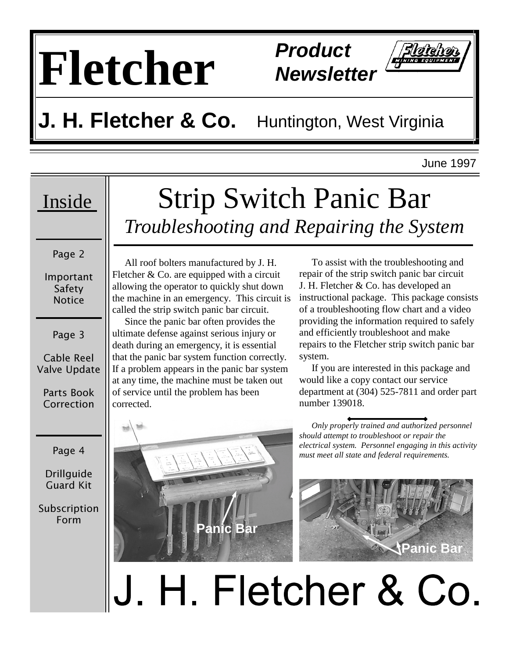# **Fletcher Product**

**Newsletter** 



June 1997

Page 2

Important Safety Notice

Page 3

Cable Reel Valve Update

Parts Book Correction

Page 4

**Drillguide** Guard Kit

Subscription Form

### Inside Strip Switch Panic Bar *Troubleshooting and Repairing the System*

 All roof bolters manufactured by J. H. Fletcher & Co. are equipped with a circuit allowing the operator to quickly shut down the machine in an emergency. This circuit is called the strip switch panic bar circuit.

 Since the panic bar often provides the ultimate defense against serious injury or death during an emergency, it is essential that the panic bar system function correctly. If a problem appears in the panic bar system at any time, the machine must be taken out of service until the problem has been corrected.



 To assist with the troubleshooting and repair of the strip switch panic bar circuit J. H. Fletcher & Co. has developed an instructional package. This package consists of a troubleshooting flow chart and a video providing the information required to safely and efficiently troubleshoot and make repairs to the Fletcher strip switch panic bar system.

 If you are interested in this package and would like a copy contact our service department at (304) 525-7811 and order part number 139018.

 *Only properly trained and authorized personnel should attempt to troubleshoot or repair the electrical system. Personnel engaging in this activity must meet all state and federal requirements.* 



## H. Fletcher & Co.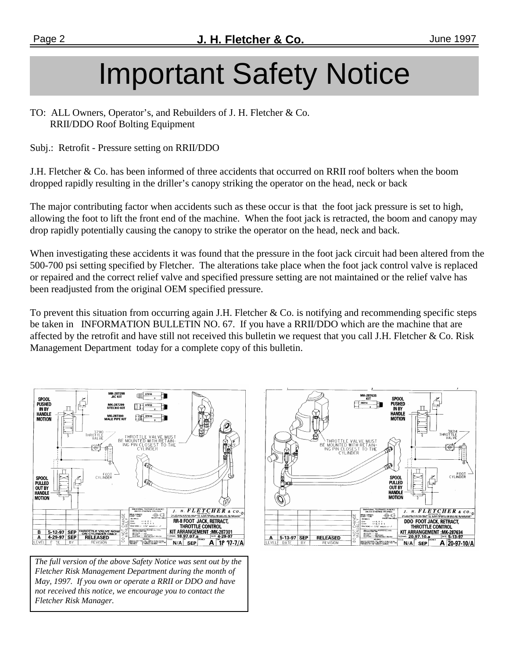## Important Safety Notice

TO: ALL Owners, Operator's, and Rebuilders of J. H. Fletcher & Co. RRII/DDO Roof Bolting Equipment

Subj.: Retrofit - Pressure setting on RRII/DDO

J.H. Fletcher & Co. has been informed of three accidents that occurred on RRII roof bolters when the boom dropped rapidly resulting in the driller's canopy striking the operator on the head, neck or back

The major contributing factor when accidents such as these occur is that the foot jack pressure is set to high, allowing the foot to lift the front end of the machine. When the foot jack is retracted, the boom and canopy may drop rapidly potentially causing the canopy to strike the operator on the head, neck and back.

When investigating these accidents it was found that the pressure in the foot jack circuit had been altered from the 500-700 psi setting specified by Fletcher. The alterations take place when the foot jack control valve is replaced or repaired and the correct relief valve and specified pressure setting are not maintained or the relief valve has been readjusted from the original OEM specified pressure.

To prevent this situation from occurring again J.H. Fletcher & Co. is notifying and recommending specific steps be taken in INFORMATION BULLETIN NO. 67. If you have a RRII/DDO which are the machine that are affected by the retrofit and have still not received this bulletin we request that you call J.H. Fletcher  $\&$  Co. Risk Management Department today for a complete copy of this bulletin.



 *The full version of the above Safety Notice was sent out by the Fletcher Risk Management Department during the month of May, 1997. If you own or operate a RRII or DDO and have not received this notice, we encourage you to contact the Fletcher Risk Manager.* 

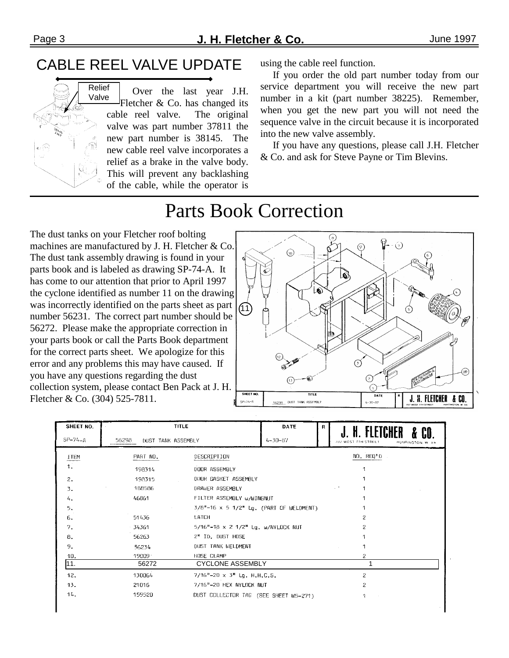#### CABLE REEL VALVE UPDATE



 Over the last year J.H. Fletcher & Co. has changed its cable reel valve. The original valve was part number 37811 the new part number is 38145. The new cable reel valve incorporates a relief as a brake in the valve body. This will prevent any backlashing of the cable, while the operator is using the cable reel function.

 If you order the old part number today from our service department you will receive the new part number in a kit (part number 38225). Remember, when you get the new part you will not need the sequence valve in the circuit because it is incorporated into the new valve assembly.

 If you have any questions, please call J.H. Fletcher & Co. and ask for Steve Payne or Tim Blevins.

### Parts Book Correction

The dust tanks on your Fletcher roof bolting machines are manufactured by J. H. Fletcher & Co. The dust tank assembly drawing is found in your parts book and is labeled as drawing SP-74-A. It has come to our attention that prior to April 1997 the cyclone identified as number 11 on the drawing was incorrectly identified on the parts sheet as part number 56231. The correct part number should be 56272. Please make the appropriate correction in your parts book or call the Parts Book department for the correct parts sheet. We apologize for this error and any problems this may have caused. If you have any questions regarding the dust collection system, please contact Ben Pack at J. H. Fletcher & Co. (304) 525-7811.



| SHEET NO.      |                                    | <b>TITLE</b>                            | DATE          | R. | H.                                       |
|----------------|------------------------------------|-----------------------------------------|---------------|----|------------------------------------------|
| $SP-74-A$      | 56298<br><b>DUST TANK ASSEMBLY</b> |                                         | $4 - 30 - 87$ |    | 707 WEST 7TH STREET<br>HUNTINGTON, W. VA |
| ITEM           | PART NO.                           | DESCRIPTION                             |               |    | NO. REQ'D                                |
| 1 <sup>2</sup> | 198314                             | DOOR ASSEMBLY                           |               |    |                                          |
| 2.             | 198315                             | DUOR GASKET ASSEMBLY                    |               |    |                                          |
| 3.             | 188586                             | DRAWER ASSEMBLY                         |               |    | $\sim$ $^{\prime}$                       |
| 4.             | 46861                              | FILTER ASSEMBLY W/WINGNUT               |               |    |                                          |
| 5,             |                                    | 3/8"-16 x 5 1/2" Lg. (PART OF WELDMENT) |               |    |                                          |
| 6.             | 51436                              | LATCH                                   |               |    | 2                                        |
| 7.             | - 34361                            | 5/16"-18 x 2 1/2" Lg. w/NYLOCK NUT      |               |    | 2                                        |
| Β.             | 56263                              | 2" ID. DUST HOSE                        |               |    |                                          |
| 9.             | 56234                              | <b>DUST TANK WELDMENT</b>               |               |    | 1                                        |
| 10.            | 19009                              | HOSE CLAMP                              |               |    | $\overline{c}$                           |
| 11.            | 56272                              | <b>CYCLONE ASSEMBLY</b>                 |               |    |                                          |
| 12.            | 130064                             | $7/16"$ -20 x 3" Lg. H.H.C.S.           |               |    | 2                                        |
| 13.            | 21016                              | 7/16"-20 HEX NYLOCK NUT                 |               |    | 2                                        |
| 14.            | 159520                             | DUST COLLECTOR TAG (SEE SHEET WS-271)   |               |    | 1                                        |